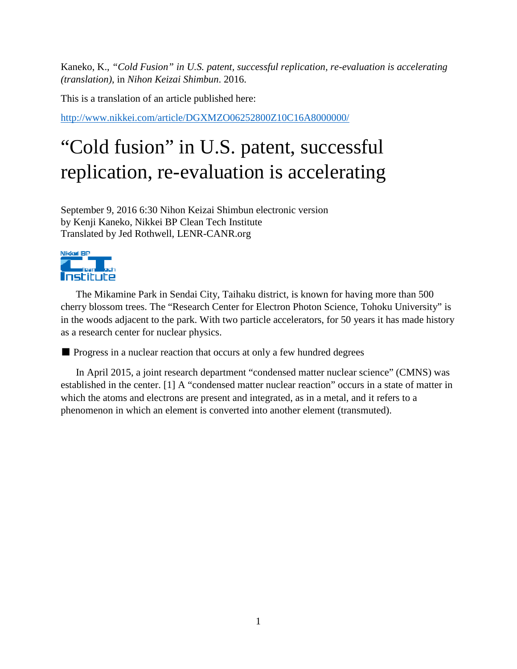Kaneko, K., *"Cold Fusion" in U.S. patent, successful replication, re-evaluation is accelerating (translation)*, in *Nihon Keizai Shimbun*. 2016.

This is a translation of an article published here:

<http://www.nikkei.com/article/DGXMZO06252800Z10C16A8000000/>

## "Cold fusion" in U.S. patent, successful replication, re-evaluation is accelerating

September 9, 2016 6:30 Nihon Keizai Shimbun electronic version by Kenji Kaneko, Nikkei BP Clean Tech Institute Translated by Jed Rothwell, LENR-CANR.org



The Mikamine Park in Sendai City, Taihaku district, is known for having more than 500 cherry blossom trees. The "Research Center for Electron Photon Science, Tohoku University" is in the woods adjacent to the park. With two particle accelerators, for 50 years it has made history as a research center for nuclear physics.

■ Progress in a nuclear reaction that occurs at only a few hundred degrees

In April 2015, a joint research department "condensed matter nuclear science" (CMNS) was established in the center. [1] A "condensed matter nuclear reaction" occurs in a state of matter in which the atoms and electrons are present and integrated, as in a metal, and it refers to a phenomenon in which an element is converted into another element (transmuted).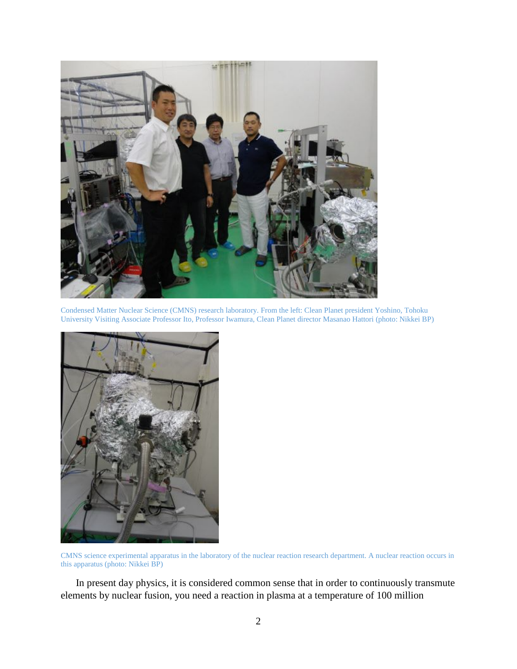

Condensed Matter Nuclear Science (CMNS) research laboratory. From the left: Clean Planet president Yoshino, Tohoku University Visiting Associate Professor Ito, Professor Iwamura, Clean Planet director Masanao Hattori (photo: Nikkei BP)



CMNS science experimental apparatus in the laboratory of the nuclear reaction research department. A nuclear reaction occurs in this apparatus (photo: Nikkei BP)

In present day physics, it is considered common sense that in order to continuously transmute elements by nuclear fusion, you need a reaction in plasma at a temperature of 100 million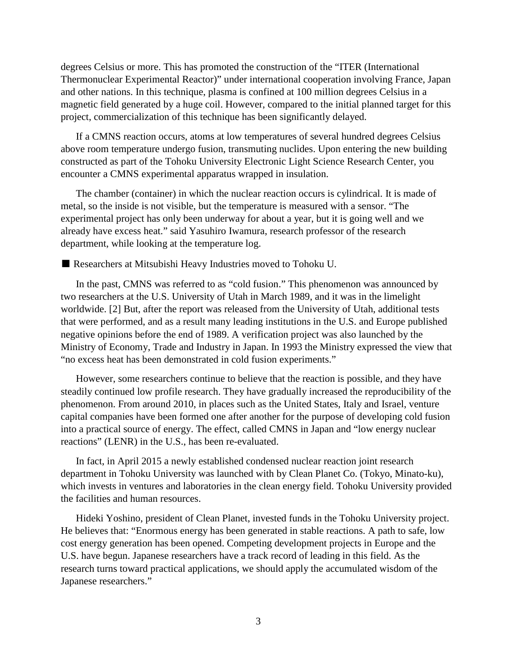degrees Celsius or more. This has promoted the construction of the "ITER (International Thermonuclear Experimental Reactor)" under international cooperation involving France, Japan and other nations. In this technique, plasma is confined at 100 million degrees Celsius in a magnetic field generated by a huge coil. However, compared to the initial planned target for this project, commercialization of this technique has been significantly delayed.

If a CMNS reaction occurs, atoms at low temperatures of several hundred degrees Celsius above room temperature undergo fusion, transmuting nuclides. Upon entering the new building constructed as part of the Tohoku University Electronic Light Science Research Center, you encounter a CMNS experimental apparatus wrapped in insulation.

The chamber (container) in which the nuclear reaction occurs is cylindrical. It is made of metal, so the inside is not visible, but the temperature is measured with a sensor. "The experimental project has only been underway for about a year, but it is going well and we already have excess heat." said Yasuhiro Iwamura, research professor of the research department, while looking at the temperature log.

■ Researchers at Mitsubishi Heavy Industries moved to Tohoku U.

In the past, CMNS was referred to as "cold fusion." This phenomenon was announced by two researchers at the U.S. University of Utah in March 1989, and it was in the limelight worldwide. [2] But, after the report was released from the University of Utah, additional tests that were performed, and as a result many leading institutions in the U.S. and Europe published negative opinions before the end of 1989. A verification project was also launched by the Ministry of Economy, Trade and Industry in Japan. In 1993 the Ministry expressed the view that "no excess heat has been demonstrated in cold fusion experiments."

However, some researchers continue to believe that the reaction is possible, and they have steadily continued low profile research. They have gradually increased the reproducibility of the phenomenon. From around 2010, in places such as the United States, Italy and Israel, venture capital companies have been formed one after another for the purpose of developing cold fusion into a practical source of energy. The effect, called CMNS in Japan and "low energy nuclear reactions" (LENR) in the U.S., has been re-evaluated.

In fact, in April 2015 a newly established condensed nuclear reaction joint research department in Tohoku University was launched with by Clean Planet Co. (Tokyo, Minato-ku), which invests in ventures and laboratories in the clean energy field. Tohoku University provided the facilities and human resources.

Hideki Yoshino, president of Clean Planet, invested funds in the Tohoku University project. He believes that: "Enormous energy has been generated in stable reactions. A path to safe, low cost energy generation has been opened. Competing development projects in Europe and the U.S. have begun. Japanese researchers have a track record of leading in this field. As the research turns toward practical applications, we should apply the accumulated wisdom of the Japanese researchers."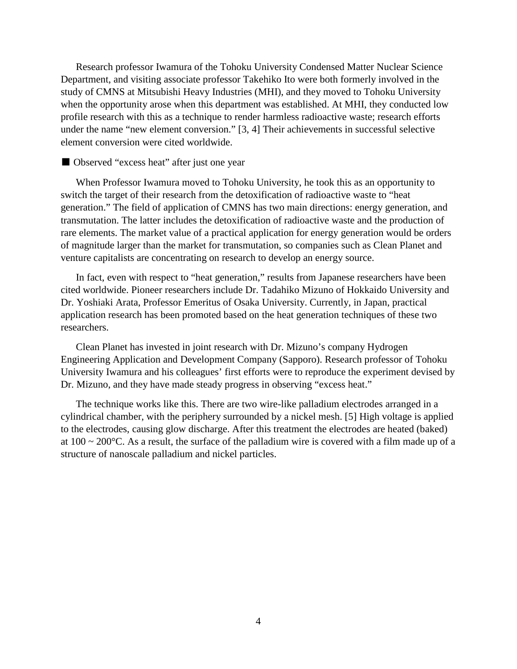Research professor Iwamura of the Tohoku University Condensed Matter Nuclear Science Department, and visiting associate professor Takehiko Ito were both formerly involved in the study of CMNS at Mitsubishi Heavy Industries (MHI), and they moved to Tohoku University when the opportunity arose when this department was established. At MHI, they conducted low profile research with this as a technique to render harmless radioactive waste; research efforts under the name "new element conversion." [3, 4] Their achievements in successful selective element conversion were cited worldwide.

■ Observed "excess heat" after just one year

When Professor Iwamura moved to Tohoku University, he took this as an opportunity to switch the target of their research from the detoxification of radioactive waste to "heat generation." The field of application of CMNS has two main directions: energy generation, and transmutation. The latter includes the detoxification of radioactive waste and the production of rare elements. The market value of a practical application for energy generation would be orders of magnitude larger than the market for transmutation, so companies such as Clean Planet and venture capitalists are concentrating on research to develop an energy source.

In fact, even with respect to "heat generation," results from Japanese researchers have been cited worldwide. Pioneer researchers include Dr. Tadahiko Mizuno of Hokkaido University and Dr. Yoshiaki Arata, Professor Emeritus of Osaka University. Currently, in Japan, practical application research has been promoted based on the heat generation techniques of these two researchers.

Clean Planet has invested in joint research with Dr. Mizuno's company Hydrogen Engineering Application and Development Company (Sapporo). Research professor of Tohoku University Iwamura and his colleagues' first efforts were to reproduce the experiment devised by Dr. Mizuno, and they have made steady progress in observing "excess heat."

The technique works like this. There are two wire-like palladium electrodes arranged in a cylindrical chamber, with the periphery surrounded by a nickel mesh. [5] High voltage is applied to the electrodes, causing glow discharge. After this treatment the electrodes are heated (baked) at  $100 \sim 200^{\circ}$ C. As a result, the surface of the palladium wire is covered with a film made up of a structure of nanoscale palladium and nickel particles.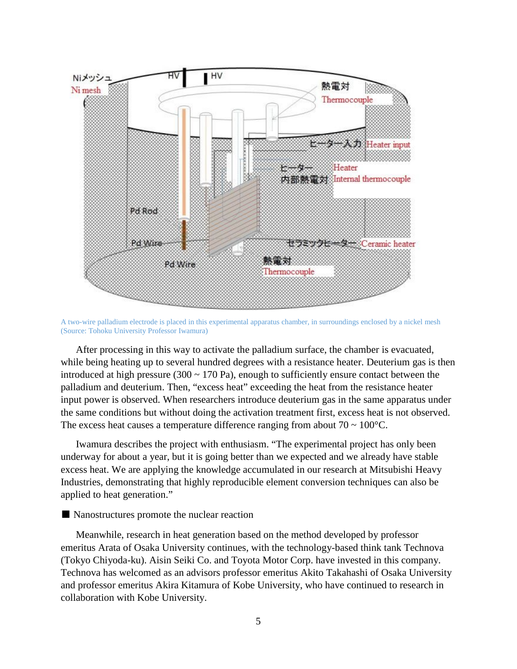

A two-wire palladium electrode is placed in this experimental apparatus chamber, in surroundings enclosed by a nickel mesh (Source: Tohoku University Professor Iwamura)

After processing in this way to activate the palladium surface, the chamber is evacuated, while being heating up to several hundred degrees with a resistance heater. Deuterium gas is then introduced at high pressure (300  $\sim$  170 Pa), enough to sufficiently ensure contact between the palladium and deuterium. Then, "excess heat" exceeding the heat from the resistance heater input power is observed. When researchers introduce deuterium gas in the same apparatus under the same conditions but without doing the activation treatment first, excess heat is not observed. The excess heat causes a temperature difference ranging from about  $70 \sim 100^{\circ}$ C.

Iwamura describes the project with enthusiasm. "The experimental project has only been underway for about a year, but it is going better than we expected and we already have stable excess heat. We are applying the knowledge accumulated in our research at Mitsubishi Heavy Industries, demonstrating that highly reproducible element conversion techniques can also be applied to heat generation."

## ■ Nanostructures promote the nuclear reaction

Meanwhile, research in heat generation based on the method developed by professor emeritus Arata of Osaka University continues, with the technology-based think tank Technova (Tokyo Chiyoda-ku). Aisin Seiki Co. and Toyota Motor Corp. have invested in this company. Technova has welcomed as an advisors professor emeritus Akito Takahashi of Osaka University and professor emeritus Akira Kitamura of Kobe University, who have continued to research in collaboration with Kobe University.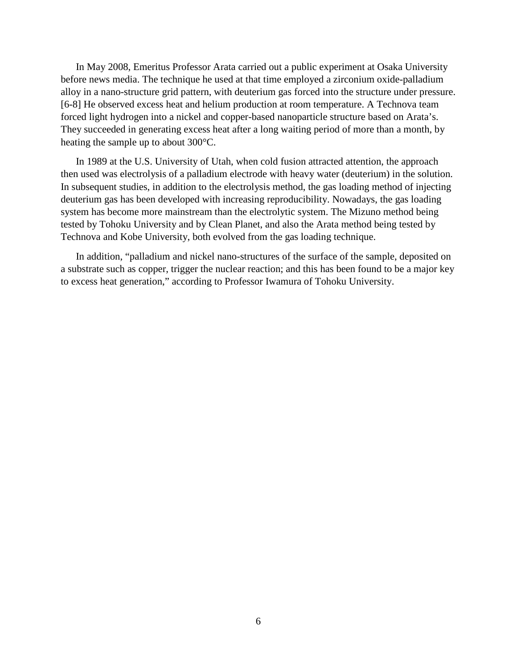In May 2008, Emeritus Professor Arata carried out a public experiment at Osaka University before news media. The technique he used at that time employed a zirconium oxide-palladium alloy in a nano-structure grid pattern, with deuterium gas forced into the structure under pressure. [6-8] He observed excess heat and helium production at room temperature. A Technova team forced light hydrogen into a nickel and copper-based nanoparticle structure based on Arata's. They succeeded in generating excess heat after a long waiting period of more than a month, by heating the sample up to about 300°C.

In 1989 at the U.S. University of Utah, when cold fusion attracted attention, the approach then used was electrolysis of a palladium electrode with heavy water (deuterium) in the solution. In subsequent studies, in addition to the electrolysis method, the gas loading method of injecting deuterium gas has been developed with increasing reproducibility. Nowadays, the gas loading system has become more mainstream than the electrolytic system. The Mizuno method being tested by Tohoku University and by Clean Planet, and also the Arata method being tested by Technova and Kobe University, both evolved from the gas loading technique.

In addition, "palladium and nickel nano-structures of the surface of the sample, deposited on a substrate such as copper, trigger the nuclear reaction; and this has been found to be a major key to excess heat generation," according to Professor Iwamura of Tohoku University.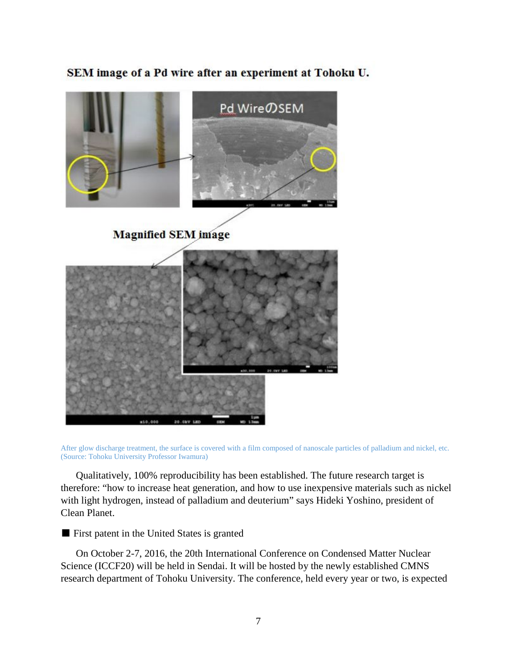SEM image of a Pd wire after an experiment at Tohoku U.



After glow discharge treatment, the surface is covered with a film composed of nanoscale particles of palladium and nickel, etc. (Source: Tohoku University Professor Iwamura)

Qualitatively, 100% reproducibility has been established. The future research target is therefore: "how to increase heat generation, and how to use inexpensive materials such as nickel with light hydrogen, instead of palladium and deuterium" says Hideki Yoshino, president of Clean Planet.

■ First patent in the United States is granted

On October 2-7, 2016, the 20th International Conference on Condensed Matter Nuclear Science (ICCF20) will be held in Sendai. It will be hosted by the newly established CMNS research department of Tohoku University. The conference, held every year or two, is expected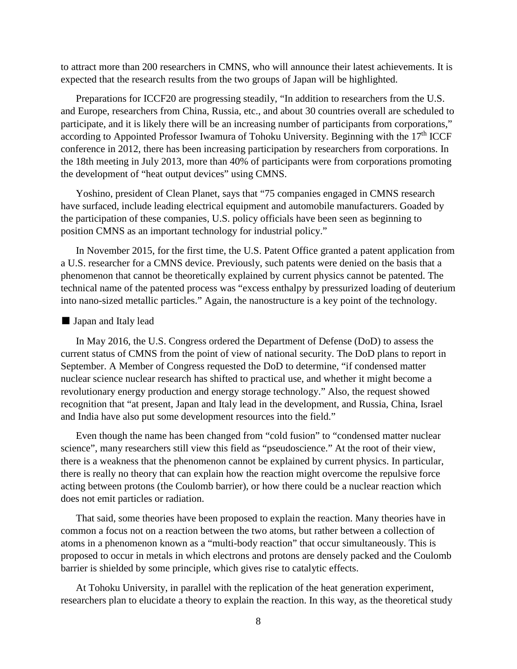to attract more than 200 researchers in CMNS, who will announce their latest achievements. It is expected that the research results from the two groups of Japan will be highlighted.

Preparations for ICCF20 are progressing steadily, "In addition to researchers from the U.S. and Europe, researchers from China, Russia, etc., and about 30 countries overall are scheduled to participate, and it is likely there will be an increasing number of participants from corporations," according to Appointed Professor Iwamura of Tohoku University. Beginning with the  $17<sup>th</sup> ICCF$ conference in 2012, there has been increasing participation by researchers from corporations. In the 18th meeting in July 2013, more than 40% of participants were from corporations promoting the development of "heat output devices" using CMNS.

Yoshino, president of Clean Planet, says that "75 companies engaged in CMNS research have surfaced, include leading electrical equipment and automobile manufacturers. Goaded by the participation of these companies, U.S. policy officials have been seen as beginning to position CMNS as an important technology for industrial policy."

In November 2015, for the first time, the U.S. Patent Office granted a patent application from a U.S. researcher for a CMNS device. Previously, such patents were denied on the basis that a phenomenon that cannot be theoretically explained by current physics cannot be patented. The technical name of the patented process was "excess enthalpy by pressurized loading of deuterium into nano-sized metallic particles." Again, the nanostructure is a key point of the technology.

## ■ Japan and Italy lead

In May 2016, the U.S. Congress ordered the Department of Defense (DoD) to assess the current status of CMNS from the point of view of national security. The DoD plans to report in September. A Member of Congress requested the DoD to determine, "if condensed matter nuclear science nuclear research has shifted to practical use, and whether it might become a revolutionary energy production and energy storage technology." Also, the request showed recognition that "at present, Japan and Italy lead in the development, and Russia, China, Israel and India have also put some development resources into the field."

Even though the name has been changed from "cold fusion" to "condensed matter nuclear science", many researchers still view this field as "pseudoscience." At the root of their view, there is a weakness that the phenomenon cannot be explained by current physics. In particular, there is really no theory that can explain how the reaction might overcome the repulsive force acting between protons (the Coulomb barrier), or how there could be a nuclear reaction which does not emit particles or radiation.

That said, some theories have been proposed to explain the reaction. Many theories have in common a focus not on a reaction between the two atoms, but rather between a collection of atoms in a phenomenon known as a "multi-body reaction" that occur simultaneously. This is proposed to occur in metals in which electrons and protons are densely packed and the Coulomb barrier is shielded by some principle, which gives rise to catalytic effects.

At Tohoku University, in parallel with the replication of the heat generation experiment, researchers plan to elucidate a theory to explain the reaction. In this way, as the theoretical study